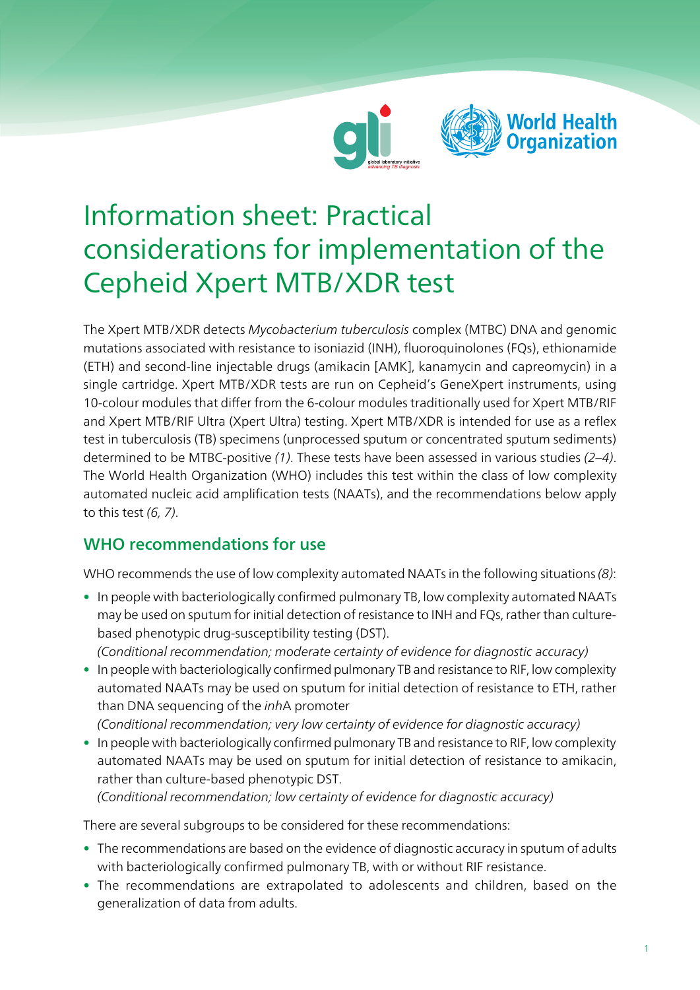



# Information sheet: Practical considerations for implementation of the Cepheid Xpert MTB/XDR test

The Xpert MTB/XDR detects Mycobacterium tuberculosis complex (MTBC) DNA and genomic mutations associated with resistance to isoniazid (INH), fluoroquinolones (FQs), ethionamide (ETH) and second-line injectable drugs (amikacin [AMK], kanamycin and capreomycin) in a single cartridge. Xpert MTB/XDR tests are run on Cepheid's GeneXpert instruments, using 10-colour modules that differ from the 6-colour modules traditionally used for Xpert MTB/RIF and Xpert MTB/RIF Ultra (Xpert Ultra) testing. Xpert MTB/XDR is intended for use as a reflex test in tuberculosis (TB) specimens (unprocessed sputum or concentrated sputum sediments) determined to be MTBC-positive (1). These tests have been assessed in various studies  $(2-4)$ . The World Health Organization (WHO) includes this test within the class of low complexity automated nucleic acid amplification tests (NAATs), and the recommendations below apply to this test (6, 7).

### WHO recommendations for use

WHO recommends the use of low complexity automated NAATs in the following situations (8):

• In people with bacteriologically confirmed pulmonary TB, low complexity automated NAATs may be used on sputum for initial detection of resistance to INH and FQs, rather than culturebased phenotypic drug-susceptibility testing (DST).

(Conditional recommendation; moderate certainty of evidence for diagnostic accuracy)

- In people with bacteriologically confirmed pulmonary TB and resistance to RIF, low complexity automated NAATs may be used on sputum for initial detection of resistance to ETH, rather than DNA sequencing of the inhA promoter
	- (Conditional recommendation; very low certainty of evidence for diagnostic accuracy)
- In people with bacteriologically confirmed pulmonary TB and resistance to RIF, low complexity automated NAATs may be used on sputum for initial detection of resistance to amikacin, rather than culture-based phenotypic DST.

(Conditional recommendation; low certainty of evidence for diagnostic accuracy)

There are several subgroups to be considered for these recommendations:

- The recommendations are based on the evidence of diagnostic accuracy in sputum of adults with bacteriologically confirmed pulmonary TB, with or without RIF resistance.
- The recommendations are extrapolated to adolescents and children, based on the generalization of data from adults.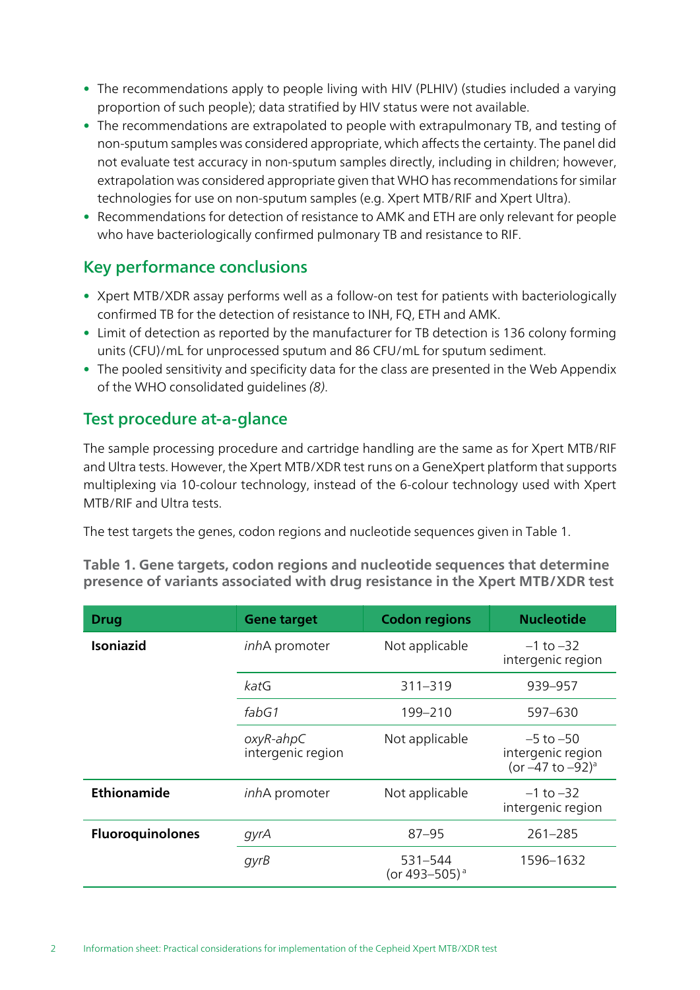- The recommendations apply to people living with HIV (PLHIV) (studies included a varying proportion of such people); data stratified by HIV status were not available.
- The recommendations are extrapolated to people with extrapulmonary TB, and testing of non-sputum samples was considered appropriate, which affects the certainty. The panel did not evaluate test accuracy in non-sputum samples directly, including in children; however, extrapolation was considered appropriate given that WHO has recommendations for similar technologies for use on non-sputum samples (e.g. Xpert MTB/RIF and Xpert Ultra).
- Recommendations for detection of resistance to AMK and ETH are only relevant for people who have bacteriologically confirmed pulmonary TB and resistance to RIF.

### Key performance conclusions

- Xpert MTB/XDR assay performs well as a follow-on test for patients with bacteriologically confirmed TB for the detection of resistance to INH, FQ, ETH and AMK.
- Limit of detection as reported by the manufacturer for TB detection is 136 colony forming units (CFU)/mL for unprocessed sputum and 86 CFU/mL for sputum sediment.
- The pooled sensitivity and specificity data for the class are presented in the Web Appendix of the WHO consolidated guidelines (8).

### Test procedure at-a-glance

The sample processing procedure and cartridge handling are the same as for Xpert MTB/RIF and Ultra tests. However, the Xpert MTB/XDR test runs on a GeneXpert platform that supports multiplexing via 10-colour technology, instead of the 6-colour technology used with Xpert MTB/RIF and Ultra tests.

The test targets the genes, codon regions and nucleotide sequences given in Table 1.

Table 1. Gene targets, codon regions and nucleotide sequences that determine presence of variants associated with drug resistance in the Xpert MTB/XDR test

| <b>Drug</b>             | <b>Gene target</b>                   | <b>Codon regions</b>                 | <b>Nucleotide</b>                                                       |
|-------------------------|--------------------------------------|--------------------------------------|-------------------------------------------------------------------------|
| <b>Isoniazid</b>        | inhA promoter                        | Not applicable                       | $-1$ to $-32$<br>intergenic region                                      |
|                         | katG                                 | $311 - 319$                          | 939-957                                                                 |
|                         | fabG1                                | 199-210                              | 597-630                                                                 |
|                         | $o$ xyR-ahp $C$<br>intergenic region | Not applicable                       | $-5$ to $-50$<br>intergenic region<br>(or $-47$ to $-92$ ) <sup>a</sup> |
| Ethionamide             | <i>inhA</i> promoter                 | Not applicable                       | $-1$ to $-32$<br>intergenic region                                      |
| <b>Fluoroquinolones</b> | gyrA                                 | $87 - 95$                            | $261 - 285$                                                             |
|                         | gyrB                                 | 531-544<br>(or 493-505) <sup>a</sup> | 1596-1632                                                               |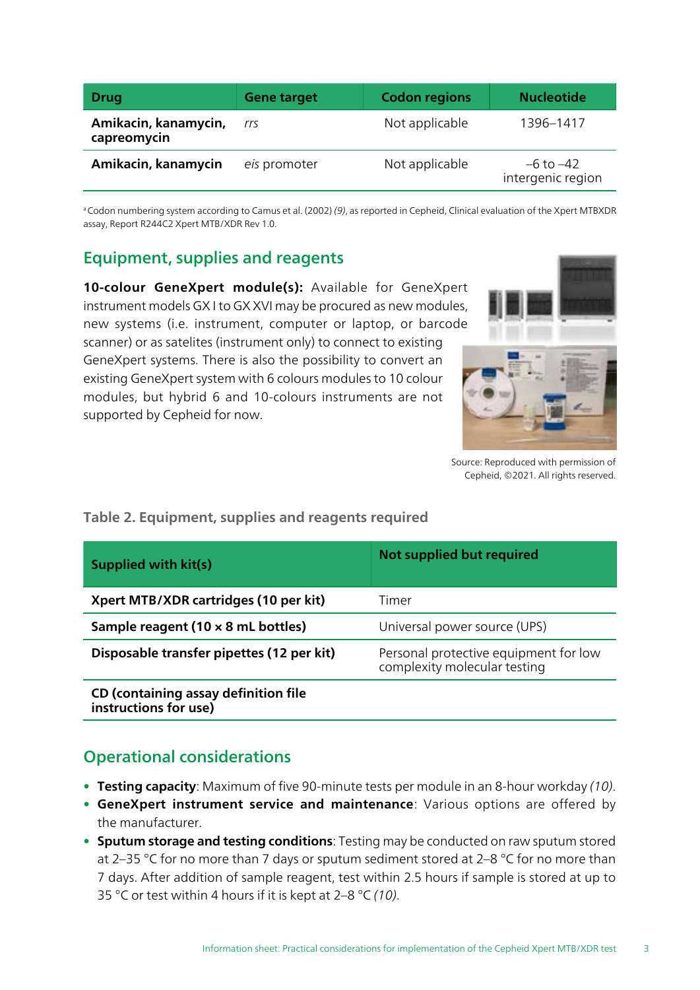| <b>Drug</b>                         | <b>Gene target</b> | <b>Codon regions</b> | <b>Nucleotide</b>                  |
|-------------------------------------|--------------------|----------------------|------------------------------------|
| Amikacin, kanamycin,<br>capreomycin | rrs                | Not applicable       | 1396–1417                          |
| Amikacin, kanamycin                 | eis promoter       | Not applicable       | $-6$ to $-42$<br>intergenic region |

<sup>a</sup> Codon numbering system according to Camus et al. (2002) (9), as reported in Cepheid, Clinical evaluation of the Xpert MTBXDR assay, Report R244C2 Xpert MTB/XDR Rev 1.0.

### Equipment, supplies and reagents

10-colour GeneXpert module(s): Available for GeneXpert instrument models GX I to GX XVI may be procured as new modules, new systems (i.e. instrument, computer or laptop, or barcode scanner) or as satelites (instrument only) to connect to existing GeneXpert systems. There is also the possibility to convert an existing GeneXpert system with 6 colours modules to 10 colour modules, but hybrid 6 and 10-colours instruments are not supported by Cepheid for now.



Source: Reproduced with permission of Cepheid, ©2021. All rights reserved.

## Supplied with kit(s) Not supplied but required **Xpert MTB/XDR cartridges (10 per kit)** Timer **Sample reagent (10 x 8 mL bottles)** Universal power source (UPS) **Disposable transfer pipettes (12 per kit)** Personal protective equipment for low complexity molecular testing CD (containing assay definition file instructions for use)

#### Table 2. Equipment, supplies and reagents required

### Operational considerations

- Testing capacity: Maximum of five 90-minute tests per module in an 8-hour workday (10).
- GeneXpert instrument service and maintenance: Various options are offered by the manufacturer.
- Sputum storage and testing conditions: Testing may be conducted on raw sputum stored at 2–35 °C for no more than 7 days or sputum sediment stored at 2–8 °C for no more than 7 days. After addition of sample reagent, test within 2.5 hours if sample is stored at up to 35 °C or test within 4 hours if it is kept at  $2-8$  °C (10).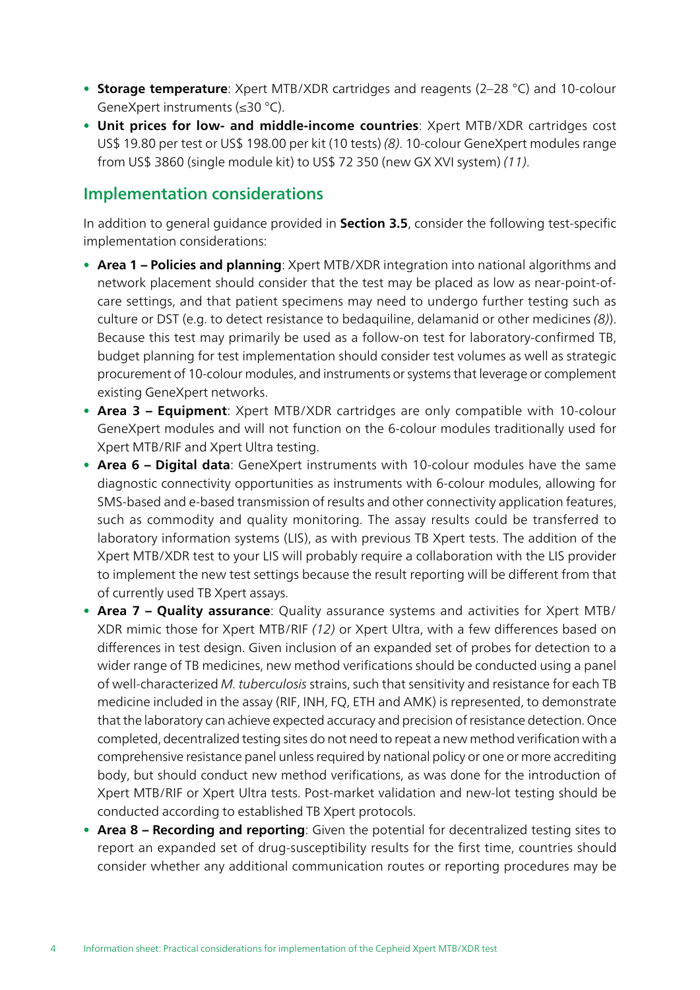- Storage temperature: Xpert MTB/XDR cartridges and reagents (2-28 °C) and 10-colour GeneXpert instruments (≤30 °C).
- Unit prices for low- and middle-income countries: Xpert MTB/XDR cartridges cost US\$ 19.80 per test or US\$ 198.00 per kit (10 tests) (8). 10-colour GeneXpert modules range from US\$ 3860 (single module kit) to US\$ 72 350 (new GX XVI system) (11).

### Implementation considerations

In addition to general guidance provided in Section 3.5, consider the following test-specific implementation considerations:

- Area 1 Policies and planning: Xpert MTB/XDR integration into national algorithms and network placement should consider that the test may be placed as low as near-point-ofcare settings, and that patient specimens may need to undergo further testing such as culture or DST (e.g. to detect resistance to bedaquiline, delamanid or other medicines (8)). Because this test may primarily be used as a follow-on test for laboratory-confirmed TB, budget planning for test implementation should consider test volumes as well as strategic procurement of 10-colour modules, and instruments or systems that leverage or complement existing GeneXpert networks.
- Area 3 Equipment: Xpert MTB/XDR cartridges are only compatible with 10-colour GeneXpert modules and will not function on the 6-colour modules traditionally used for Xpert MTB/RIF and Xpert Ultra testing.
- Area 6 Digital data: GeneXpert instruments with 10-colour modules have the same diagnostic connectivity opportunities as instruments with 6-colour modules, allowing for SMS-based and e-based transmission of results and other connectivity application features, such as commodity and quality monitoring. The assay results could be transferred to laboratory information systems (LIS), as with previous TB Xpert tests. The addition of the Xpert MTB/XDR test to your LIS will probably require a collaboration with the LIS provider to implement the new test settings because the result reporting will be different from that of currently used TB Xpert assays.
- Area 7 Quality assurance: Quality assurance systems and activities for Xpert MTB/ XDR mimic those for Xpert MTB/RIF (12) or Xpert Ultra, with a few differences based on differences in test design. Given inclusion of an expanded set of probes for detection to a wider range of TB medicines, new method verifications should be conducted using a panel of well-characterized M. tuberculosis strains, such that sensitivity and resistance for each TB medicine included in the assay (RIF, INH, FQ, ETH and AMK) is represented, to demonstrate that the laboratory can achieve expected accuracy and precision of resistance detection. Once completed, decentralized testing sites do not need to repeat a new method verification with a comprehensive resistance panel unless required by national policy or one or more accrediting body, but should conduct new method verifications, as was done for the introduction of Xpert MTB/RIF or Xpert Ultra tests. Post-market validation and new-lot testing should be conducted according to established TB Xpert protocols.
- Area 8 Recording and reporting: Given the potential for decentralized testing sites to report an expanded set of drug-susceptibility results for the first time, countries should consider whether any additional communication routes or reporting procedures may be